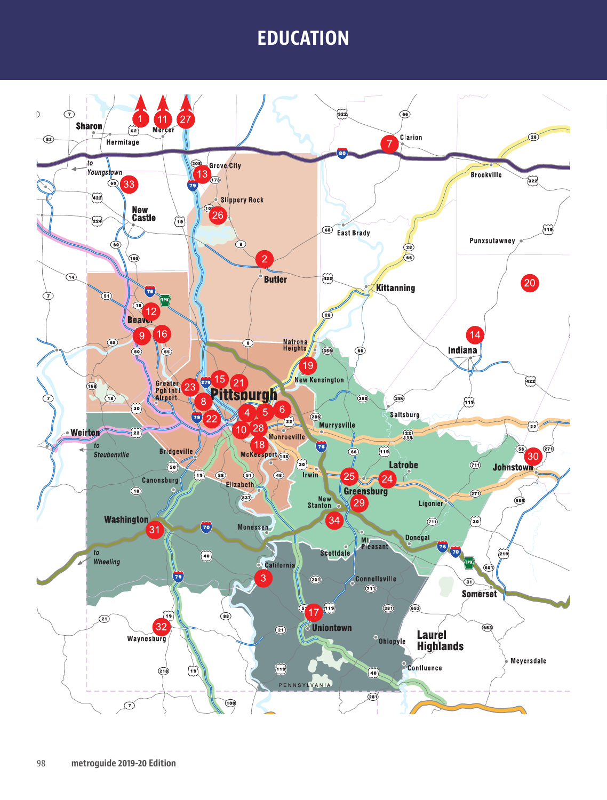# **EDUCATION EDUCATION**

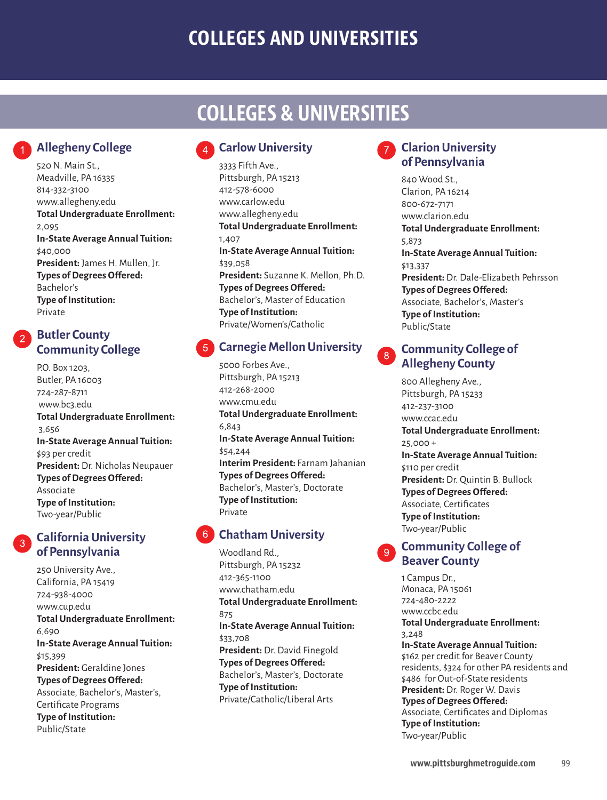# **COLLEGES AND UNIVERSITIES**

# **COLLEGES & UNIVERSITIES**

### **Allegheny College**

520 N. Main St., Meadville, PA 16335 814-332-3100 www.allegheny.edu **Total Undergraduate Enrollment:** 2,095 **In-State Average Annual Tuition:** \$40,000 **President:** James H. Mullen, Jr. **Types of Degrees Offered:** Bachelor's **Type of Institution:** Private

### **Butler County Community College**

P.O. Box 1203, Butler, PA 16003 724-287-8711 www.bc3.edu **Total Undergraduate Enrollment:** 3,656 **In-State Average Annual Tuition:** \$93 per credit **President:** Dr. Nicholas Neupauer **Types of Degrees Offered:** Associate **Type of Institution:** Two-year/Public

### **California University of Pennsylvania**

250 University Ave., California, PA 15419 724-938-4000 www.cup.edu **Total Undergraduate Enrollment:** 6,690 **In-State Average Annual Tuition:** \$15,399 **President:** Geraldine Jones **Types of Degrees Offered:** Associate, Bachelor's, Master's, Certificate Programs **Type of Institution:** Public/State

### **Carlow University**

3333 Fifth Ave., Pittsburgh, PA 15213 412-578-6000 www.carlow.edu www.allegheny.edu **Total Undergraduate Enrollment:** 1,407 **In-State Average Annual Tuition:** \$39,058 **President:** Suzanne K. Mellon, Ph.D. **Types of Degrees Offered:** Bachelor's, Master of Education **Type of Institution:** Private/Women's/Catholic

### **Carnegie Mellon University**

5000 Forbes Ave., Pittsburgh, PA 15213 412-268-2000 www.cmu.edu **Total Undergraduate Enrollment:** 6,843 **In-State Average Annual Tuition:** \$54,244 **Interim President:** Farnam Jahanian **Types of Degrees Offered:** Bachelor's, Master's, Doctorate **Type of Institution:** Private

### **Chatham University**

Woodland Rd., Pittsburgh, PA 15232 412-365-1100 www.chatham.edu **Total Undergraduate Enrollment:** 875 **In-State Average Annual Tuition:** \$33,708 **President:** Dr. David Finegold **Types of Degrees Offered:** Bachelor's, Master's, Doctorate **Type of Institution:** Private/Catholic/Liberal Arts

### **Clarion University of Pennsylvania**

840 Wood St., Clarion, PA 16214 800-672-7171 www.clarion.edu **Total Undergraduate Enrollment:** 5,873 **In-State Average Annual Tuition:** \$13,337 **President:** Dr. Dale-Elizabeth Pehrsson **Types of Degrees Offered:** Associate, Bachelor's, Master's **Type of Institution:** Public/State

#### **Community College of**   $8<sup>°</sup>$ **Allegheny County**

800 Allegheny Ave., Pittsburgh, PA 15233 412-237-3100 www.ccac.edu **Total Undergraduate Enrollment:** 25,000 + **In-State Average Annual Tuition:** \$110 per credit **President:** Dr. Quintin B. Bullock **Types of Degrees Offered:** Associate, Certificates **Type of Institution:** Two-year/Public

### **Community College of Beaver County**

1 Campus Dr., Monaca, PA 15061 724-480-2222 www.ccbc.edu **Total Undergraduate Enrollment:** 3,248 **In-State Average Annual Tuition:** \$162 per credit for Beaver County residents, \$324 for other PA residents and \$486 for Out-of-State residents **President:** Dr. Roger W. Davis **Types of Degrees Offered:** Associate, Certificates and Diplomas **Type of Institution:** Two-year/Public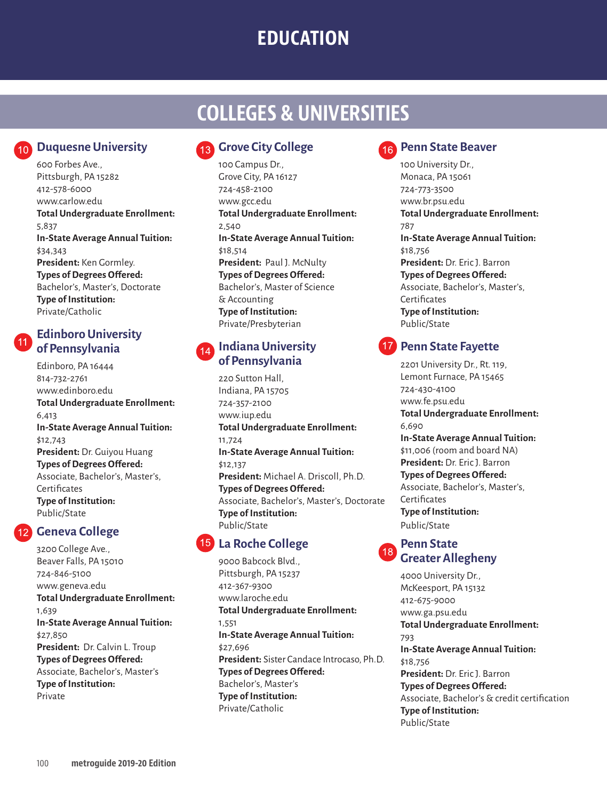# **EDUCATION**

# **COLLEGES & UNIVERSITIES**

### **Duquesne University**

600 Forbes Ave., Pittsburgh, PA 15282 412-578-6000 www.carlow.edu **Total Undergraduate Enrollment:** 5,837 **In-State Average Annual Tuition:** \$34,343 **President:** Ken Gormley. **Types of Degrees Offered:** Bachelor's, Master's, Doctorate **Type of Institution:** Private/Catholic

#### **Edinboro University of Pennsylvania**

Edinboro, PA 16444 814-732-2761 www.edinboro.edu **Total Undergraduate Enrollment:** 6,413 **In-State Average Annual Tuition:** \$12,743 **President:** Dr. Guiyou Huang **Types of Degrees Offered:** Associate, Bachelor's, Master's, **Certificates Type of Institution:** Public/State

## **Geneva College**

3200 College Ave., Beaver Falls, PA 15010 724-846-5100 www.geneva.edu **Total Undergraduate Enrollment:** 1,639 **In-State Average Annual Tuition:** \$27,850 **President:** Dr. Calvin L. Troup **Types of Degrees Offered:** Associate, Bachelor's, Master's **Type of Institution:** Private

### **Grove City College**

100 Campus Dr., Grove City, PA 16127 724-458-2100 www.gcc.edu **Total Undergraduate Enrollment:** 2,540 **In-State Average Annual Tuition:** \$18,514 President: Paul J. McNulty **Types of Degrees Offered:** Bachelor's, Master of Science & Accounting **Type of Institution:** Private/Presbyterian

#### **Indiana University**   $14$ **of Pennsylvania**

220 Sutton Hall, Indiana, PA 15705 724-357-2100 www.iup.edu **Total Undergraduate Enrollment:** 11,724 **In-State Average Annual Tuition:** \$12,137 **President:** Michael A. Driscoll, Ph.D. **Types of Degrees Offered:** Associate, Bachelor's, Master's, Doctorate **Type of Institution:** Public/State

### **La Roche College**

9000 Babcock Blvd., Pittsburgh, PA 15237 412-367-9300 www.laroche.edu **Total Undergraduate Enrollment:** 1,551 **In-State Average Annual Tuition:** \$27,696 **President:** Sister Candace Introcaso, Ph.D. **Types of Degrees Offered:** Bachelor's, Master's **Type of Institution:** Private/Catholic



#### **RPenn State Beaver**

100 University Dr., Monaca, PA 15061 724-773-3500 www.br.psu.edu **Total Undergraduate Enrollment:** 787 **In-State Average Annual Tuition:** \$18,756 **President:** Dr. Eric J. Barron **Types of Degrees Offered:** Associate, Bachelor's, Master's, **Certificates Type of Institution:** Public/State

#### **17** Penn State Fayette

2201 University Dr., Rt. 119, Lemont Furnace, PA 15465 724-430-4100 www.fe.psu.edu **Total Undergraduate Enrollment:** 6,690 **In-State Average Annual Tuition:** \$11,006 (room and board NA) **President:** Dr. Eric J. Barron **Types of Degrees Offered:** Associate, Bachelor's, Master's, **Certificates Type of Institution:** Public/State

### **Penn State Greater Allegheny**

4000 University Dr., McKeesport, PA 15132 412-675-9000 www.ga.psu.edu **Total Undergraduate Enrollment:** 793 **In-State Average Annual Tuition:** \$18,756 **President:** Dr. Eric J. Barron **Types of Degrees Offered:** Associate, Bachelor's & credit certification **Type of Institution:** Public/State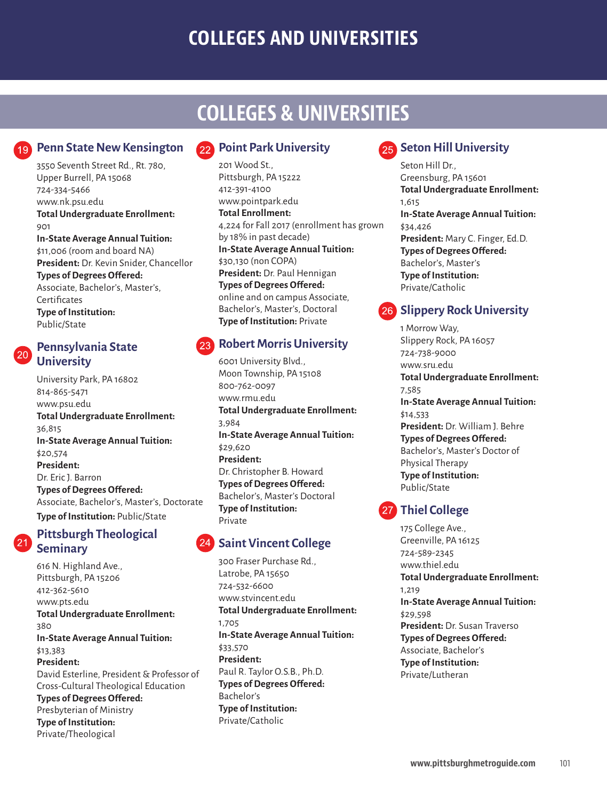# **COLLEGES AND UNIVERSITIES**

# **COLLEGES & UNIVERSITIES**

### **Penn State New Kensington**

3550 Seventh Street Rd., Rt. 780, Upper Burrell, PA 15068 724-334-5466 www.nk.psu.edu **Total Undergraduate Enrollment:** 901 **In-State Average Annual Tuition:** \$11,006 (room and board NA) **President:** Dr. Kevin Snider, Chancellor **Types of Degrees Offered:** Associate, Bachelor's, Master's, **Certificates Type of Institution:** Public/State

### **Pennsylvania State University**

University Park, PA 16802 814-865-5471 www.psu.edu **Total Undergraduate Enrollment:** 36,815 **In-State Average Annual Tuition:** \$20,574 **President:** Dr. Eric J. Barron **Types of Degrees Offered:** Associate, Bachelor's, Master's, Doctorate **Type of Institution:** Public/State

### **Pittsburgh Theological Seminary**

616 N. Highland Ave., Pittsburgh, PA 15206 412-362-5610 www.pts.edu **Total Undergraduate Enrollment:** 380 **In-State Average Annual Tuition:** \$13,383 **President:** David Esterline, President & Professor of Cross-Cultural Theological Education **Types of Degrees Offered:** Presbyterian of Ministry **Type of Institution:** Private/Theological

### **Point Park University**

201 Wood St., Pittsburgh, PA 15222 412-391-4100 www.pointpark.edu **Total Enrollment:** 4,224 for Fall 2017 (enrollment has grown by 18% in past decade) **In-State Average Annual Tuition:** \$30,130 (non COPA) **President:** Dr. Paul Hennigan **Types of Degrees Offered:** online and on campus Associate, Bachelor's, Master's, Doctoral **Type of Institution:** Private

### **Robert Morris University**

6001 University Blvd., Moon Township, PA 15108 800-762-0097 www.rmu.edu **Total Undergraduate Enrollment:** 3,984 **In-State Average Annual Tuition:** \$29,620 **President:** Dr. Christopher B. Howard **Types of Degrees Offered:** Bachelor's, Master's Doctoral **Type of Institution:** Private

### **Saint Vincent College**

300 Fraser Purchase Rd., Latrobe, PA 15650 724-532-6600 www.stvincent.edu **Total Undergraduate Enrollment:** 1,705 **In-State Average Annual Tuition:** \$33,570 **President:** Paul R. Taylor O.S.B., Ph.D. **Types of Degrees Offered:** Bachelor's **Type of Institution:** Private/Catholic

## **25** Seton Hill University

Seton Hill Dr., Greensburg, PA 15601 **Total Undergraduate Enrollment:** 1,615 **In-State Average Annual Tuition:** \$34,426 **President:** Mary C. Finger, Ed.D. **Types of Degrees Offered:** Bachelor's, Master's **Type of Institution:** Private/Catholic

### **26 Slippery Rock University**

1 Morrow Way, Slippery Rock, PA 16057 724-738-9000 www.sru.edu **Total Undergraduate Enrollment:** 7,585 **In-State Average Annual Tuition:** \$14,533 **President:** Dr. William J. Behre **Types of Degrees Offered:** Bachelor's, Master's Doctor of Physical Therapy **Type of Institution:** Public/State

### **27** Thiel College

175 College Ave., Greenville, PA 16125 724-589-2345 www.thiel.edu **Total Undergraduate Enrollment:** 1,219 **In-State Average Annual Tuition:** \$29,598 **President:** Dr. Susan Traverso **Types of Degrees Offered:** Associate, Bachelor's **Type of Institution:** Private/Lutheran